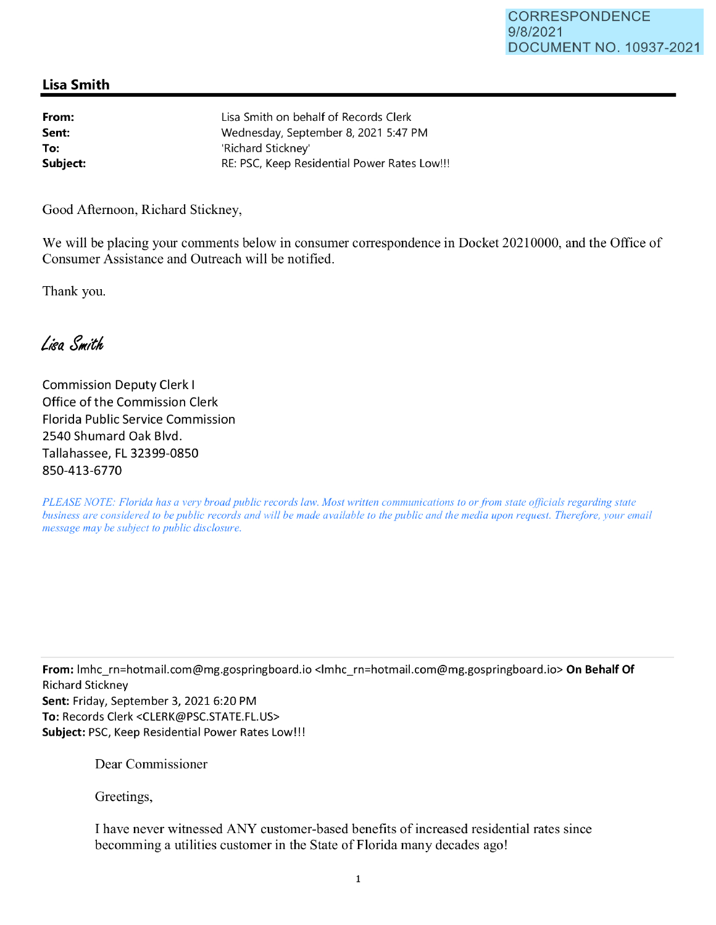## **Lisa Smith**

| From:    | Lisa Smith on behalf of Records Clerk        |
|----------|----------------------------------------------|
| Sent:    | Wednesday, September 8, 2021 5:47 PM         |
| To:      | 'Richard Sticknev'                           |
| Subject: | RE: PSC, Keep Residential Power Rates Low!!! |
|          |                                              |

Good Afternoon, Richard Stickney,

We will be placing your comments below in consumer correspondence in Docket 20210000, and the Office of Consumer Assistance and Outreach will be notified.

Thank you.

Lisa Smith

Commission Deputy Clerk I Office of the Commission Clerk Florida Public Service Commission 2540 Shumard Oak Blvd. Tallahassee, FL 32399-0850 850-413-6770

*PLEASE NOTE: Florida has a very broad public records law. Most written communications to or from state officials regarding state business are considered to be public records and will be made available to the public and the media upon request. Therefore, your email message may be subject to public disclosure.* 

**From:** lmhc\_rn=hotmail.com@mg.gospringboard.io <lmhc\_rn=hotmail.com@mg.gospringboard.io> **On Behalf Of**  Richard Stickney **Sent:** Friday, September 3, 2021 6:20 PM **To:** Records Clerk <CLERK@PSC.STATE.FL.US> **Subject:** PSC, Keep Residential Power Rates Low!!!

Dear Commissioner

Greetings,

I have never witnessed ANY customer-based benefits of increased residential rates since becomming a utilities customer in the State of Florida many decades ago!